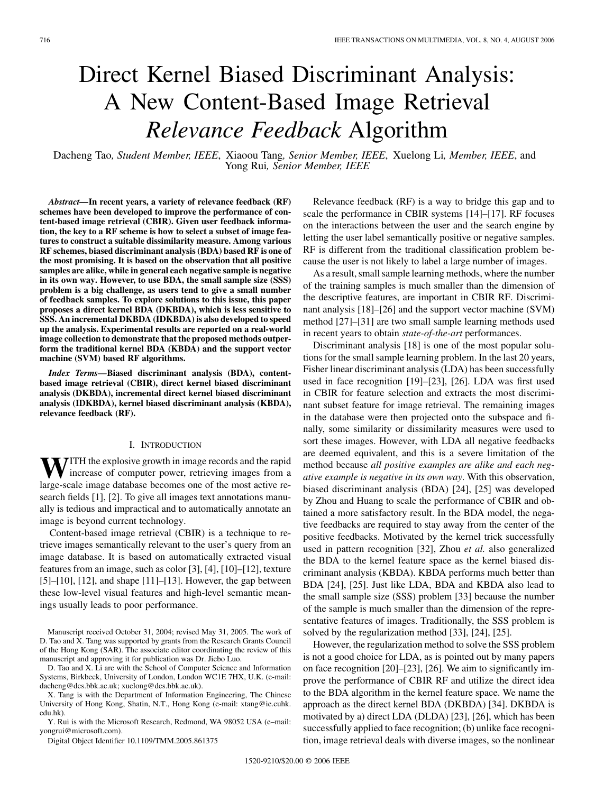# Direct Kernel Biased Discriminant Analysis: A New Content-Based Image Retrieval *Relevance Feedback* Algorithm

Dacheng Tao*, Student Member, IEEE*, Xiaoou Tang*, Senior Member, IEEE*, Xuelong Li*, Member, IEEE*, and Yong Rui*, Senior Member, IEEE*

*Abstract—***In recent years, a variety of relevance feedback (RF) schemes have been developed to improve the performance of content-based image retrieval (CBIR). Given user feedback information, the key to a RF scheme is how to select a subset of image features to construct a suitable dissimilarity measure. Among various RF schemes, biased discriminant analysis (BDA) based RF is one of the most promising. It is based on the observation that all positive samples are alike, while in general each negative sample is negative in its own way. However, to use BDA, the small sample size (SSS) problem is a big challenge, as users tend to give a small number of feedback samples. To explore solutions to this issue, this paper proposes a direct kernel BDA (DKBDA), which is less sensitive to SSS. An incremental DKBDA (IDKBDA) is also developed to speed up the analysis. Experimental results are reported on a real-world image collection to demonstrate that the proposed methods outperform the traditional kernel BDA (KBDA) and the support vector machine (SVM) based RF algorithms.**

*Index Terms—***Biased discriminant analysis (BDA), contentbased image retrieval (CBIR), direct kernel biased discriminant analysis (DKBDA), incremental direct kernel biased discriminant analysis (IDKBDA), kernel biased discriminant analysis (KBDA), relevance feedback (RF).**

#### I. INTRODUCTION

**WITH** the explosive growth in image records and the rapid increase of computer power, retrieving images from a large-scale image database becomes one of the most active research fields [\[1\]](#page-10-0), [\[2\].](#page-10-0) To give all images text annotations manually is tedious and impractical and to automatically annotate an image is beyond current technology.

Content-based image retrieval (CBIR) is a technique to retrieve images semantically relevant to the user's query from an image database. It is based on automatically extracted visual features from an image, such as color [\[3\], \[4\], \[10\]–\[12\],](#page-10-0) texture  $[5]$ – $[10]$ ,  $[12]$ , and shape  $[11]$ – $[13]$ . However, the gap between these low-level visual features and high-level semantic meanings usually leads to poor performance.

X. Tang is with the Department of Information Engineering, The Chinese University of Hong Kong, Shatin, N.T., Hong Kong (e-mail: xtang@ie.cuhk. edu.hk).

Y. Rui is with the Microsoft Research, Redmond, WA 98052 USA (e–mail: yongrui@microsoft.com).

Digital Object Identifier 10.1109/TMM.2005.861375

Relevance feedback (RF) is a way to bridge this gap and to scale the performance in CBIR systems [\[14\]–\[17\]](#page-10-0). RF focuses on the interactions between the user and the search engine by letting the user label semantically positive or negative samples. RF is different from the traditional classification problem because the user is not likely to label a large number of images.

As a result, small sample learning methods, where the number of the training samples is much smaller than the dimension of the descriptive features, are important in CBIR RF. Discriminant analysis [\[18\]](#page-10-0)[–\[26\]](#page-11-0) and the support vector machine (SVM) method [\[27\]–\[31\]](#page-11-0) are two small sample learning methods used in recent years to obtain *state-of-the-art* performances.

Discriminant analysis [\[18\]](#page-10-0) is one of the most popular solutions for the small sample learning problem. In the last 20 years, Fisher linear discriminant analysis (LDA) has been successfully used in face recognition [\[19\]](#page-10-0)[–\[23\], \[26\].](#page-11-0) LDA was first used in CBIR for feature selection and extracts the most discriminant subset feature for image retrieval. The remaining images in the database were then projected onto the subspace and finally, some similarity or dissimilarity measures were used to sort these images. However, with LDA all negative feedbacks are deemed equivalent, and this is a severe limitation of the method because *all positive examples are alike and each negative example is negative in its own way*. With this observation, biased discriminant analysis (BDA) [\[24\]](#page-11-0), [\[25\]](#page-11-0) was developed by Zhou and Huang to scale the performance of CBIR and obtained a more satisfactory result. In the BDA model, the negative feedbacks are required to stay away from the center of the positive feedbacks. Motivated by the kernel trick successfully used in pattern recognition [\[32\],](#page-11-0) Zhou *et al.* also generalized the BDA to the kernel feature space as the kernel biased discriminant analysis (KBDA). KBDA performs much better than BDA [\[24\]](#page-11-0), [\[25\]](#page-11-0). Just like LDA, BDA and KBDA also lead to the small sample size (SSS) problem [\[33\]](#page-11-0) because the number of the sample is much smaller than the dimension of the representative features of images. Traditionally, the SSS problem is solved by the regularization method [\[33\]](#page-11-0), [\[24\], \[25\].](#page-11-0)

However, the regularization method to solve the SSS problem is not a good choice for LDA, as is pointed out by many papers on face recognition [\[20\]](#page-10-0)[–\[23\], \[26\].](#page-11-0) We aim to significantly improve the performance of CBIR RF and utilize the direct idea to the BDA algorithm in the kernel feature space. We name the approach as the direct kernel BDA (DKBDA) [\[34\]](#page-11-0). DKBDA is motivated by a) direct LDA (DLDA) [\[23\], \[26\],](#page-11-0) which has been successfully applied to face recognition; (b) unlike face recognition, image retrieval deals with diverse images, so the nonlinear

Manuscript received October 31, 2004; revised May 31, 2005. The work of D. Tao and X. Tang was supported by grants from the Research Grants Council of the Hong Kong (SAR). The associate editor coordinating the review of this manuscript and approving it for publication was Dr. Jiebo Luo.

D. Tao and X. Li are with the School of Computer Science and Information Systems, Birkbeck, University of London, London WC1E 7HX, U.K. (e-mail: dacheng@dcs.bbk.ac.uk; xuelong@dcs.bbk.ac.uk).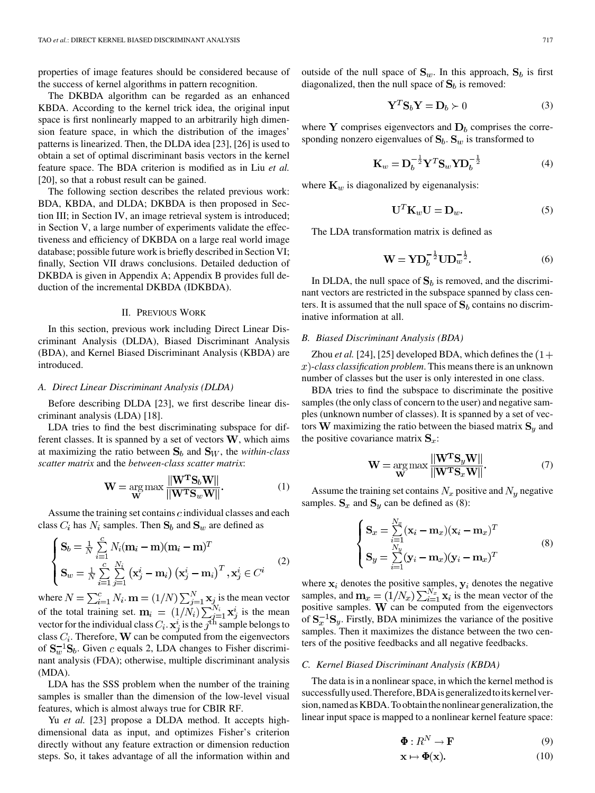properties of image features should be considered because of the success of kernel algorithms in pattern recognition.

The DKBDA algorithm can be regarded as an enhanced KBDA. According to the kernel trick idea, the original input space is first nonlinearly mapped to an arbitrarily high dimension feature space, in which the distribution of the images' patterns is linearized. Then, the DLDA idea [\[23\], \[26\]](#page-11-0) is used to obtain a set of optimal discriminant basis vectors in the kernel feature space. The BDA criterion is modified as in Liu *et al.* [\[20\],](#page-10-0) so that a robust result can be gained.

The following section describes the related previous work: BDA, KBDA, and DLDA; DKBDA is then proposed in [Sec](#page-2-0)tion III; in [Section IV,](#page-4-0) an image retrieval system is introduced; in [Section V](#page-4-0), a large number of experiments validate the effectiveness and efficiency of DKBDA on a large real world image database; possible future work is briefly described in [Section VI](#page-5-0); finally, [Section VII](#page-7-0) draws conclusions. Detailed deduction of DKBDA is given in [Appendix A; Appendix B](#page-8-0) provides full deduction of the incremental DKBDA (IDKBDA).

#### II. PREVIOUS WORK

In this section, previous work including Direct Linear Discriminant Analysis (DLDA), Biased Discriminant Analysis (BDA), and Kernel Biased Discriminant Analysis (KBDA) are introduced.

#### *A. Direct Linear Discriminant Analysis (DLDA)*

Before describing DLDA [\[23\]](#page-11-0), we first describe linear discriminant analysis (LDA) [\[18\]](#page-10-0).

LDA tries to find the best discriminating subspace for different classes. It is spanned by a set of vectors  $W$ , which aims at maximizing the ratio between  $S_b$  and  $S_W$ , the *within-class scatter matrix* and the *between-class scatter matrix*:

$$
\mathbf{W} = \underset{\mathbf{W}}{\arg \max} \frac{\|\mathbf{W}^{\mathrm{T}} \mathbf{S}_b \mathbf{W}\|}{\|\mathbf{W}^{\mathrm{T}} \mathbf{S}_w \mathbf{W}\|}.
$$
 (1)

Assume the training set contains  $c$  individual classes and each class  $C_i$  has  $N_i$  samples. Then  $S_b$  and  $S_w$  are defined as

$$
\begin{cases}\n\mathbf{S}_b = \frac{1}{N} \sum_{i=1}^{C} N_i (\mathbf{m}_i - \mathbf{m}) (\mathbf{m}_i - \mathbf{m})^T \\
\mathbf{S}_w = \frac{1}{N} \sum_{i=1}^{C} \sum_{j=1}^{N_i} (\mathbf{x}_j^i - \mathbf{m}_i) (\mathbf{x}_j^i - \mathbf{m}_i)^T, \mathbf{x}_j^i \in C^i\n\end{cases}
$$
\n(2)

where  $N = \sum_{i=1}^{c} N_i$ .  $\mathbf{m} = (1/N) \sum_{i=1}^{N} \mathbf{x}_i$  is the mean vector of the total training set.  $\mathbf{m}_i = (1/N_i) \sum_{i=1}^{N_i} \mathbf{x}_i^i$  is the mean vector for the individual class  $C_i$ .  $\mathbf{x}_i^i$  is the  $j^{\text{th}}$  sample belongs to class  $C_i$ . Therefore, **W** can be computed from the eigenvectors of  $S_w^{-1}S_b$ . Given c equals 2, LDA changes to Fisher discriminant analysis (FDA); otherwise, multiple discriminant analysis (MDA).

LDA has the SSS problem when the number of the training samples is smaller than the dimension of the low-level visual features, which is almost always true for CBIR RF.

Yu *et al.* [\[23\]](#page-11-0) propose a DLDA method. It accepts highdimensional data as input, and optimizes Fisher's criterion directly without any feature extraction or dimension reduction steps. So, it takes advantage of all the information within and outside of the null space of  $S_w$ . In this approach,  $S_b$  is first diagonalized, then the null space of  $S_b$  is removed:

$$
\mathbf{Y}^T \mathbf{S}_b \mathbf{Y} = \mathbf{D}_b \succ 0 \tag{3}
$$

where Y comprises eigenvectors and  $D_b$  comprises the corresponding nonzero eigenvalues of  $S_b$ .  $S_w$  is transformed to

$$
\mathbf{K}_w = \mathbf{D}_b^{-\frac{1}{2}} \mathbf{Y}^T \mathbf{S}_w \mathbf{Y} \mathbf{D}_b^{-\frac{1}{2}}
$$
(4)

where  $\mathbf{K}_w$  is diagonalized by eigenanalysis:

$$
\mathbf{U}^T \mathbf{K}_w \mathbf{U} = \mathbf{D}_w. \tag{5}
$$

The LDA transformation matrix is defined as

$$
\mathbf{W} = \mathbf{Y} \mathbf{D}_b^{-\frac{1}{2}} \mathbf{U} \mathbf{D}_w^{-\frac{1}{2}}.
$$
 (6)

In DLDA, the null space of  $S_b$  is removed, and the discriminant vectors are restricted in the subspace spanned by class centers. It is assumed that the null space of  $S_b$  contains no discriminative information at all.

#### *B. Biased Discriminant Analysis (BDA)*

Zhou *et al.* [\[24\]](#page-11-0), [\[25\]](#page-11-0) developed BDA, which defines the  $(1 +$ -*class classification problem*. This means there is an unknown number of classes but the user is only interested in one class.

BDA tries to find the subspace to discriminate the positive samples (the only class of concern to the user) and negative samples (unknown number of classes). It is spanned by a set of vectors W maximizing the ratio between the biased matrix  $S_u$  and the positive covariance matrix  $S_x$ :

$$
\mathbf{W} = \underset{\mathbf{W}}{\arg \max} \frac{\|\mathbf{W}^{\mathrm{T}} \mathbf{S}_y \mathbf{W}\|}{\|\mathbf{W}^{\mathrm{T}} \mathbf{S}_x \mathbf{W}\|}.
$$
 (7)

Assume the training set contains  $N_x$  positive and  $N_y$  negative samples.  $S_x$  and  $S_y$  can be defined as (8):

$$
\begin{cases}\n\mathbf{S}_x = \sum_{i=1}^{N_x} (\mathbf{x}_i - \mathbf{m}_x)(\mathbf{x}_i - \mathbf{m}_x)^T \\
\mathbf{S}_y = \sum_{i=1}^{N_y} (\mathbf{y}_i - \mathbf{m}_x)(\mathbf{y}_i - \mathbf{m}_x)^T\n\end{cases}
$$
\n(8)

where  $x_i$  denotes the positive samples,  $y_i$  denotes the negative samples, and  $\mathbf{m}_x = (1/N_x) \sum_{i=1}^{N_x} \mathbf{x}_i$  is the mean vector of the positive samples.  $W$  can be computed from the eigenvectors of  $S_x^{-1}S_y$ . Firstly, BDA minimizes the variance of the positive samples. Then it maximizes the distance between the two centers of the positive feedbacks and all negative feedbacks.

## *C. Kernel Biased Discriminant Analysis (KBDA)*

The data is in a nonlinear space, in which the kernel method is successfully used. Therefore, BDA is generalized to its kernel version, named as KBDA. To obtain the nonlinear generalization, the linear input space is mapped to a nonlinear kernel feature space:

$$
\mathbf{\Phi}: R^N \to \mathbf{F} \tag{9}
$$

$$
\mathbf{x} \mapsto \mathbf{\Phi}(\mathbf{x}).\tag{10}
$$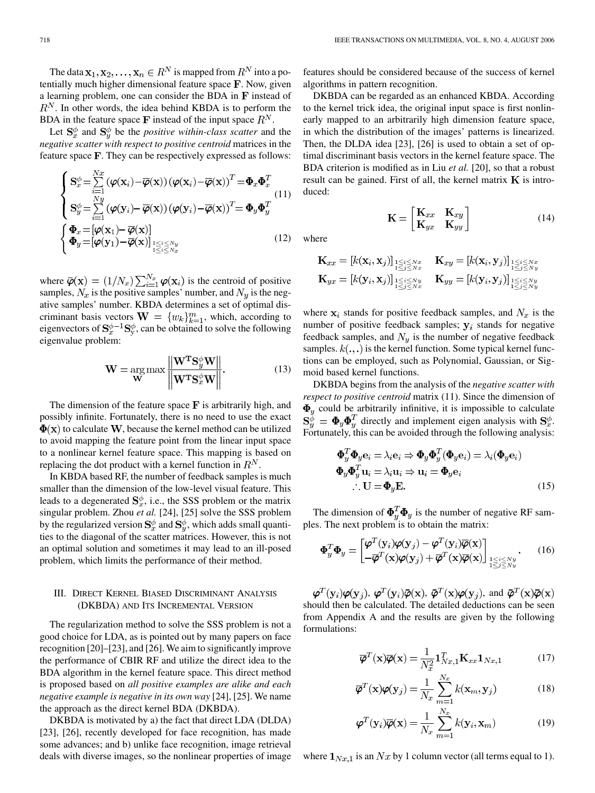<span id="page-2-0"></span>The data  $x_1, x_2, \ldots, x_n \in R^N$  is mapped from  $R^N$  into a potentially much higher dimensional feature space  $\bf{F}$ . Now, given a learning problem, one can consider the BDA in  $F$  instead of  $R<sup>N</sup>$ . In other words, the idea behind KBDA is to perform the BDA in the feature space F instead of the input space  $R^N$ .

Let  $S_x^{\phi}$  and  $S_y^{\phi}$  be the *positive within-class scatter* and the *negative scatter with respect to positive centroid* matrices in the feature space  $\bf{F}$ . They can be respectively expressed as follows:

$$
\begin{cases}\n\mathbf{S}_{x}^{\phi} = \sum_{i=1}^{Nx} (\boldsymbol{\varphi}(\mathbf{x}_{i}) - \overline{\boldsymbol{\varphi}}(\mathbf{x})) (\boldsymbol{\varphi}(\mathbf{x}_{i}) - \overline{\boldsymbol{\varphi}}(\mathbf{x}))^{T} = \boldsymbol{\Phi}_{x} \boldsymbol{\Phi}_{x}^{T} \\
\mathbf{S}_{y}^{\phi} = \sum_{i=1}^{Ny} (\boldsymbol{\varphi}(\mathbf{y}_{i}) - \overline{\boldsymbol{\varphi}}(\mathbf{x})) (\boldsymbol{\varphi}(\mathbf{y}_{i}) - \overline{\boldsymbol{\varphi}}(\mathbf{x}))^{T} = \boldsymbol{\Phi}_{y} \boldsymbol{\Phi}_{y}^{T} \\
\begin{cases}\n\boldsymbol{\Phi}_{x} = [\boldsymbol{\varphi}(\mathbf{x}_{1}) - \overline{\boldsymbol{\varphi}}(\mathbf{x})] \\
\boldsymbol{\Phi}_{y} = [\boldsymbol{\varphi}(\mathbf{y}_{1}) - \overline{\boldsymbol{\varphi}}(\mathbf{x})]_{1 \leq i \leq N_{x}}\n\end{cases} (12)\n\end{cases}
$$

where  $\bar{\varphi}(\mathbf{x}) = (1/N_x) \sum_{i=1}^{N_x} \varphi(\mathbf{x}_i)$  is the centroid of positive samples,  $N_x$  is the positive samples' number, and  $N_y$  is the negative samples' number. KBDA determines a set of optimal discriminant basis vectors  $\mathbf{W} = \{w_k\}_{k=1}^m$ , which, according to eigenvectors of  $S_x^{\phi-1}S_y^{\phi}$ , can be obtained to solve the following eigenvalue problem:

$$
\mathbf{W} = \underset{\mathbf{W}}{\arg \max} \frac{\left\| \mathbf{W}^{\mathrm{T}} \mathbf{S}_{y}^{\phi} \mathbf{W} \right\|}{\left\| \mathbf{W}^{\mathrm{T}} \mathbf{S}_{x}^{\phi} \mathbf{W} \right\|}.
$$
 (13)

The dimension of the feature space  $\bf{F}$  is arbitrarily high, and possibly infinite. Fortunately, there is no need to use the exact  $\Phi(\mathbf{x})$  to calculate W, because the kernel method can be utilized to avoid mapping the feature point from the linear input space to a nonlinear kernel feature space. This mapping is based on replacing the dot product with a kernel function in  $R<sup>N</sup>$ .

In KBDA based RF, the number of feedback samples is much smaller than the dimension of the low-level visual feature. This leads to a degenerated  $S_x^{\phi}$ , i.e., the SSS problem or the matrix singular problem. Zhou *et al.* [\[24\], \[25\]](#page-11-0) solve the SSS problem by the regularized version  $S_x^{\phi}$  and  $S_y^{\phi}$ , which adds small quantities to the diagonal of the scatter matrices. However, this is not an optimal solution and sometimes it may lead to an ill-posed problem, which limits the performance of their method.

# III. DIRECT KERNEL BIASED DISCRIMINANT ANALYSIS (DKBDA) AND ITS INCREMENTAL VERSION

The regularization method to solve the SSS problem is not a good choice for LDA, as is pointed out by many papers on face recognition [\[20\]](#page-10-0)[–\[23\],](#page-11-0) and [\[26\].](#page-11-0) We aim to significantly improve the performance of CBIR RF and utilize the direct idea to the BDA algorithm in the kernel feature space. This direct method is proposed based on *all positive examples are alike and each negative example is negative in its own way* [\[24\]](#page-11-0), [\[25\].](#page-11-0) We name the approach as the direct kernel BDA (DKBDA).

DKBDA is motivated by a) the fact that direct LDA (DLDA) [\[23\]](#page-11-0), [\[26\],](#page-11-0) recently developed for face recognition, has made some advances; and b) unlike face recognition, image retrieval deals with diverse images, so the nonlinear properties of image

features should be considered because of the success of kernel algorithms in pattern recognition.

DKBDA can be regarded as an enhanced KBDA. According to the kernel trick idea, the original input space is first nonlinearly mapped to an arbitrarily high dimension feature space, in which the distribution of the images' patterns is linearized. Then, the DLDA idea [\[23\]](#page-11-0), [\[26\]](#page-11-0) is used to obtain a set of optimal discriminant basis vectors in the kernel feature space. The BDA criterion is modified as in Liu *et al.* [\[20\]](#page-10-0), so that a robust result can be gained. First of all, the kernel matrix  $\bf{K}$  is introduced:

where

$$
\mathbf{K}_{xx} = [k(\mathbf{x}_i, \mathbf{x}_j)]_{\substack{1 \leq i \leq Nx \\ 1 \leq j \leq Nx}} \quad \mathbf{K}_{xy} = [k(\mathbf{x}_i, \mathbf{y}_j)]_{\substack{1 \leq i \leq Nx \\ 1 \leq j \leq Ny}} \quad \mathbf{K}_{yy} = [k(\mathbf{y}_i, \mathbf{y}_j)]_{\substack{1 \leq i \leq Ny \\ 1 \leq j \leq Ny}} \quad \mathbf{K}_{yy} = [k(\mathbf{y}_i, \mathbf{y}_j)]_{\substack{1 \leq i \leq Ny \\ 1 \leq j \leq Ny}} \quad
$$

 $\mathbf{K} = \begin{bmatrix} \mathbf{K}_{xx} & \mathbf{K}_{xy} \ \mathbf{K}_{yx} & \mathbf{K}_{yy} \end{bmatrix}.$ 

(14)

where  $x_i$  stands for positive feedback samples, and  $N_x$  is the number of positive feedback samples;  $y_i$  stands for negative feedback samples, and  $N<sub>y</sub>$  is the number of negative feedback samples.  $k(.,.)$  is the kernel function. Some typical kernel functions can be employed, such as Polynomial, Gaussian, or Sigmoid based kernel functions.

DKBDA begins from the analysis of the *negative scatter with respect to positive centroid* matrix (11). Since the dimension of  $\Phi_{\nu}$  could be arbitrarily infinitive, it is impossible to calculate directly and implement eigen analysis with  $S_x^{\phi}$ . Fortunately, this can be avoided through the following analysis:

$$
\begin{aligned}\n\boldsymbol{\Phi}_{y}^{T} \boldsymbol{\Phi}_{y} \mathbf{e}_{i} &= \lambda_{i} \mathbf{e}_{i} \Rightarrow \boldsymbol{\Phi}_{y} \boldsymbol{\Phi}_{y}^{T} (\boldsymbol{\Phi}_{y} \mathbf{e}_{i}) = \lambda_{i} (\boldsymbol{\Phi}_{y} \mathbf{e}_{i}) \\
\boldsymbol{\Phi}_{y} \boldsymbol{\Phi}_{y}^{T} \mathbf{u}_{i} &= \lambda_{i} \mathbf{u}_{i} \Rightarrow \mathbf{u}_{i} = \boldsymbol{\Phi}_{y} \mathbf{e}_{i} \\
\therefore \mathbf{U} &= \boldsymbol{\Phi}_{y} \mathbf{E}.\n\end{aligned} \tag{15}
$$

The dimension of  $\mathbf{\Phi}_y^T \mathbf{\Phi}_y$  is the number of negative RF samples. The next problem is to obtain the matrix:

$$
\Phi_y^T \Phi_y = \begin{bmatrix} \boldsymbol{\varphi}^T(\mathbf{y}_i) \boldsymbol{\varphi}(\mathbf{y}_j) - \boldsymbol{\varphi}^T(\mathbf{y}_i) \overline{\boldsymbol{\varphi}}(\mathbf{x}) \\ -\overline{\boldsymbol{\varphi}}^T(\mathbf{x}) \boldsymbol{\varphi}(\mathbf{y}_j) + \overline{\boldsymbol{\varphi}}^T(\mathbf{x}) \overline{\boldsymbol{\varphi}}(\mathbf{x}) \end{bmatrix}_{\substack{1 \le i \le Ny \\ 1 \le j \le Ny}}.
$$
 (16)

 $\varphi^T(\mathbf{y}_i)\varphi(\mathbf{y}_j), \varphi^T(\mathbf{y}_i)\bar{\varphi}(\mathbf{x}), \bar{\varphi}^T(\mathbf{x})\varphi(\mathbf{y}_j),$  and  $\bar{\varphi}^T(\mathbf{x})\bar{\varphi}(\mathbf{x})$ should then be calculated. The detailed deductions can be seen from [Appendix A](#page-8-0) and the results are given by the following formulations:

$$
\overline{\boldsymbol{\varphi}}^{T}(\mathbf{x})\overline{\boldsymbol{\varphi}}(\mathbf{x}) = \frac{1}{N_x^2} \mathbf{1}_{Nx,1}^T \mathbf{K}_{xx} \mathbf{1}_{Nx,1}
$$
 (17)

$$
\overline{\boldsymbol{\varphi}}^{T}(\mathbf{x})\boldsymbol{\varphi}(\mathbf{y}_{j}) = \frac{1}{N_{x}}\sum_{m=1}^{N_{x}}k(\mathbf{x}_{m},\mathbf{y}_{j})
$$
(18)

$$
\boldsymbol{\varphi}^T(\mathbf{y}_i)\overline{\boldsymbol{\varphi}}(\mathbf{x}) = \frac{1}{N_x} \sum_{m=1}^{N_x} k(\mathbf{y}_i, \mathbf{x}_m)
$$
(19)

where  $1_{Nx,1}$  is an  $Nx$  by 1 column vector (all terms equal to 1).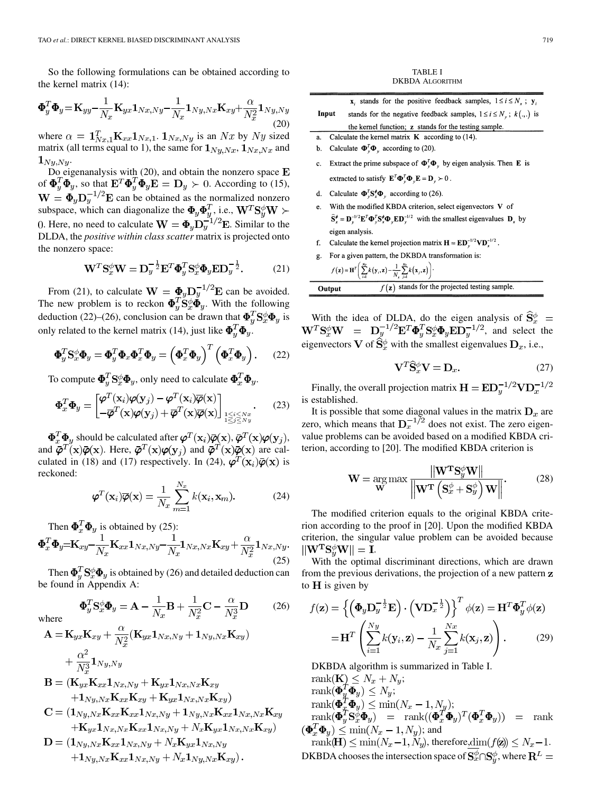So the following formulations can be obtained according to the kernel matrix [\(14\)](#page-2-0):

$$
\mathbf{\Phi}_y^T \mathbf{\Phi}_y = \mathbf{K}_{yy} - \frac{1}{N_x} \mathbf{K}_{yx} \mathbf{1}_{Nx, Ny} - \frac{1}{N_x} \mathbf{1}_{Ny, Nx} \mathbf{K}_{xy} + \frac{\alpha}{N_x^2} \mathbf{1}_{Ny, Ny}
$$
\n(20)

where  $\alpha = \mathbf{1}_{Nx,1}^T \mathbf{K}_{xx} \mathbf{1}_{Nx,1}$ .  $\mathbf{1}_{Nx,Ny}$  is an  $Nx$  by  $Ny$  sized matrix (all terms equal to 1), the same for  $1_{Ny,Nx}$ ,  $1_{Nx,Nx}$  and  $\mathbf{1}_{Ny,Ny}.$ 

Do eigenanalysis with  $(20)$ , and obtain the nonzero space  $E$ of  $\mathbf{\Phi}_y^T \mathbf{\Phi}_y$ , so that  $\mathbf{E}^T \mathbf{\Phi}_y^T \mathbf{\Phi}_y \mathbf{E} = \mathbf{D}_y \succ 0$ . According to [\(15\),](#page-2-0)  $\mathbf{W} = \mathbf{\Phi}_y \mathbf{D}_y^{-1/2} \mathbf{E}$  can be obtained as the normalized nonzero subspace, which can diagonalize the  $\mathbf{\Phi}_y \mathbf{\Phi}_y^T$ , i.e.,  $\mathbf{W}^T \mathbf{S}_y^{\phi} \mathbf{W}$ 0. Here, no need to calculate  $\mathbf{W} = \mathbf{\Phi}_u \mathbf{D}_y^{-1/2} \mathbf{E}$ . Similar to the DLDA, the *positive within class scatter* matrix is projected onto the nonzero space:

$$
\mathbf{W}^T \mathbf{S}_x^{\phi} \mathbf{W} = \mathbf{D}_y^{-\frac{1}{2}} \mathbf{E}^T \mathbf{\Phi}_y^T \mathbf{S}_x^{\phi} \mathbf{\Phi}_y \mathbf{E} \mathbf{D}_y^{-\frac{1}{2}}.
$$
 (21)

From (21), to calculate  $\mathbf{W} = \mathbf{\Phi}_y \mathbf{D}_y^{-1/2} \mathbf{E}$  can be avoided. The new problem is to reckon  $\mathbf{\Phi}_y^T \mathbf{S}_x^{\phi} \mathbf{\Phi}_y$ . With the following deduction (22)–(26), conclusion can be drawn that  $\mathbf{\Phi}_y^T \mathbf{S}_x^{\phi} \mathbf{\Phi}_y$  is only related to the kernel matrix [\(14\),](#page-2-0) just like  $\mathbf{\Phi}_{y}^{T} \mathbf{\Phi}_{y}$ .

$$
\mathbf{\Phi}_y^T \mathbf{S}_x^{\phi} \mathbf{\Phi}_y = \mathbf{\Phi}_y^T \mathbf{\Phi}_x \mathbf{\Phi}_x^T \mathbf{\Phi}_y = \left(\mathbf{\Phi}_x^T \mathbf{\Phi}_y\right)^T \left(\mathbf{\Phi}_x^T \mathbf{\Phi}_y\right). \tag{22}
$$

To compute  $\mathbf{\Phi}_y^T \mathbf{S}_x^{\phi} \mathbf{\Phi}_y$ , only need to calculate  $\mathbf{\Phi}_x^T \mathbf{\Phi}_y$ .

$$
\mathbf{\Phi}_x^T \mathbf{\Phi}_y = \begin{bmatrix} \boldsymbol{\varphi}^T(\mathbf{x}_i) \boldsymbol{\varphi}(\mathbf{y}_j) - \boldsymbol{\varphi}^T(\mathbf{x}_i) \overline{\boldsymbol{\varphi}}(\mathbf{x}) \\ -\overline{\boldsymbol{\varphi}}^T(\mathbf{x}) \boldsymbol{\varphi}(\mathbf{y}_j) + \overline{\boldsymbol{\varphi}}^T(\mathbf{x}) \overline{\boldsymbol{\varphi}}(\mathbf{x}) \end{bmatrix}_{\substack{1 \leq i \leq Nx \\ 1 \leq j \leq Ny}}.
$$
 (23)

 $\mathbf{\Phi}_x^T \mathbf{\Phi}_y$  should be calculated after  $\boldsymbol{\varphi}^T(\mathbf{x}_i) \overline{\boldsymbol{\varphi}}(\mathbf{x}), \overline{\boldsymbol{\varphi}}^T(\mathbf{x}) \boldsymbol{\varphi}(\mathbf{y}_i),$ and  $\bar{\varphi}^T(\mathbf{x})\bar{\varphi}(\mathbf{x})$ . Here,  $\bar{\varphi}^T(\mathbf{x})\varphi(\mathbf{y}_j)$  and  $\bar{\varphi}^T(\mathbf{x})\bar{\varphi}(\mathbf{x})$  are cal-culated in [\(18\) and \(17\)](#page-2-0) respectively. In (24),  $\varphi^T(\mathbf{x}_i)\bar{\varphi}(\mathbf{x})$  is reckoned:

$$
\boldsymbol{\varphi}^T(\mathbf{x}_i)\overline{\boldsymbol{\varphi}}(\mathbf{x}) = \frac{1}{N_x} \sum_{m=1}^{N_x} k(\mathbf{x}_i, \mathbf{x}_m).
$$
 (24)

Then  $\Phi_x^T \Phi_y$  is obtained by (25):<br>  $T^* = \frac{1}{\sum_{x=1}^{n} x^2}$  $1<sub>1</sub>$ 

$$
\mathbf{\Psi}_x \mathbf{\Psi}_y = \mathbf{K}_{xy} - \frac{1}{N_x} \mathbf{K}_{xx} \mathbf{I}_{Nx, Ny} - \frac{1}{N_x} \mathbf{I}_{Nx, Nx} \mathbf{K}_{xy} + \frac{1}{N_x^2} \mathbf{I}_{Nx, Ny}.
$$
\n(25)

Then  $\mathbf{\Phi}_{u}^{T} \mathbf{S}_{x}^{\phi} \mathbf{\Phi}_{y}$  is obtained by (26) and detailed deduction can be found in [Appendix A](#page-8-0):

$$
\mathbf{\Phi}_y^T \mathbf{S}_x^{\phi} \mathbf{\Phi}_y = \mathbf{A} - \frac{1}{N_x} \mathbf{B} + \frac{1}{N_x^2} \mathbf{C} - \frac{\alpha}{N_x^3} \mathbf{D}
$$
 (26)

$$
\mathbf{A} = \mathbf{K}_{yx}\mathbf{K}_{xy} + \frac{\alpha}{N_x^2}(\mathbf{K}_{yx}\mathbf{1}_{Nx,Ny} + \mathbf{1}_{Ny,Nx}\mathbf{K}_{xy}) + \frac{\alpha^2}{N_x^3}\mathbf{1}_{Ny,Ny}
$$

where

$$
\mathbf{B} = (\mathbf{K}_{yx}\mathbf{K}_{xx}\mathbf{1}_{Nx,Ny} + \mathbf{K}_{yx}\mathbf{1}_{Nx,Nx}\mathbf{K}_{xy} + \mathbf{1}_{Ny,Nx}\mathbf{K}_{xx}\mathbf{K}_{xy} + \mathbf{K}_{yx}\mathbf{1}_{Nx,Nx}\mathbf{K}_{xy})
$$

- $\mathbf{C} = (\mathbf{1}_{Ny,Nx} \mathbf{K}_{xx} \mathbf{K}_{xx} \mathbf{1}_{Nx,Ny} + \mathbf{1}_{Ny,Nx} \mathbf{K}_{xx} \mathbf{1}_{Nx,Nx} \mathbf{K}_{xy}$  $+{\mathbf K}_{yx}{\mathbf 1}_{Nx,Nx}{\mathbf K}_{xx}{\mathbf 1}_{Nx,Ny}+N_x{\mathbf K}_{yx}{\mathbf 1}_{Nx,Nx}{\mathbf K}_{xy})$
- $\mathbf{D} = (\mathbf{1}_{Ny,Nx} \mathbf{K}_{xx} \mathbf{1}_{Nx,Ny} + N_x \mathbf{K}_{yx} \mathbf{1}_{Nx,Ny})$  $+1_{Ny,Nx}\mathbf{K}_{xx}1_{Nx,Ny}+N_x1_{Ny,Nx}\mathbf{K}_{xy}).$

| <b>TABLE I</b>  |
|-----------------|
| DKBDA ALGORITHM |

|                                                           | <b>x</b> , stands for the positive feedback samples, $1 \le i \le N_x$ ; <b>y</b> <sub>i</sub>                                                           |  |
|-----------------------------------------------------------|----------------------------------------------------------------------------------------------------------------------------------------------------------|--|
|                                                           | stands for the negative feedback samples, $1 \le i \le N_v$ ; $k(.,.)$ is<br>Input                                                                       |  |
|                                                           | the kernel function; z stands for the testing sample.                                                                                                    |  |
| a.                                                        | Calculate the kernel matrix $\bf{K}$ according to (14).                                                                                                  |  |
| b.                                                        | Calculate $\mathbf{\Phi}_{v}^{T} \mathbf{\Phi}_{v}$ according to (20).                                                                                   |  |
| c.                                                        | Extract the prime subspace of $\Phi_v^T \Phi_v$ by eigen analysis. Then E is                                                                             |  |
|                                                           | extracted to satisfy $\mathbf{E}^T \mathbf{\Phi}_v^T \mathbf{\Phi}_v \mathbf{E} = \mathbf{D}_v \succ 0$ .                                                |  |
| d.                                                        | Calculate $\mathbf{\Phi}_{y}^{T} \mathbf{S}_{x}^{*} \mathbf{\Phi}_{y}$ according to (26).                                                                |  |
| e.                                                        | With the modified KBDA criterion, select eigenvectors $V$ of                                                                                             |  |
|                                                           | $\hat{S}_x^{\phi} = D_v^{-1/2} E^T \Phi_y^T S_x^{\phi} \Phi_y E D_v^{-1/2}$ with the smallest eigenvalues $D_x$ by                                       |  |
|                                                           | eigen analysis.                                                                                                                                          |  |
| f.                                                        | Calculate the kernel projection matrix $\mathbf{H} = \mathbf{E} \mathbf{D}_v^{-1/2} \mathbf{V} \mathbf{D}_x^{-1/2}$ .                                    |  |
| g.                                                        | For a given pattern, the DKBDA transformation is:                                                                                                        |  |
|                                                           | $f(\mathbf{z}) = \mathbf{H}^T \left( \sum_{i=1}^{N_Y} k(\mathbf{y}_i, \mathbf{z}) - \frac{1}{N_Y} \sum_{i=1}^{N_X} k(\mathbf{x}_i, \mathbf{z}) \right).$ |  |
| $f(z)$ stands for the projected testing sample.<br>Output |                                                                                                                                                          |  |

With the idea of DLDA, do the eigen analysis of , and select the eigenvectors V of  $\widehat{\mathbf{S}}_x^{\phi}$  with the smallest eigenvalues  $\mathbf{D}_x$ , i.e.,

$$
\mathbf{V}^T \widehat{\mathbf{S}}_x^{\phi} \mathbf{V} = \mathbf{D}_x. \tag{27}
$$

Finally, the overall projection matrix  $\mathbf{H} = \mathbf{E} \mathbf{D}_y^{-1/2} \mathbf{V} \mathbf{D}_x^{-1/2}$ is established.

It is possible that some diagonal values in the matrix  $D_x$  are zero, which means that  $D_x^{-1/2}$  does not exist. The zero eigenvalue problems can be avoided based on a modified KBDA criterion, according to [\[20\]](#page-10-0). The modified KBDA criterion is

$$
\mathbf{W} = \underset{\mathbf{W}}{\arg \max} \frac{\left\| \mathbf{W}^{\mathbf{T}} \mathbf{S}_{y}^{\phi} \mathbf{W} \right\|}{\left\| \mathbf{W}^{\mathbf{T}} \left( \mathbf{S}_{x}^{\phi} + \mathbf{S}_{y}^{\phi} \right) \mathbf{W} \right\|}.
$$
 (28)

The modified criterion equals to the original KBDA criterion according to the proof in [\[20\]](#page-10-0). Upon the modified KBDA criterion, the singular value problem can be avoided because  $\|\mathbf{W}^{\mathrm{T}}\mathbf{S}_{y}^{\phi}\mathbf{W}\| = \mathbf{I}.$ 

With the optimal discriminant directions, which are drawn from the previous derivations, the projection of a new pattern z to  $H$  is given by

$$
f(\mathbf{z}) = \left\{ \left( \mathbf{\Phi}_y \mathbf{D}_y^{-\frac{1}{2}} \mathbf{E} \right) \cdot \left( \mathbf{V} \mathbf{D}_x^{-\frac{1}{2}} \right) \right\}^T \phi(\mathbf{z}) = \mathbf{H}^T \mathbf{\Phi}_y^T \phi(\mathbf{z})
$$

$$
= \mathbf{H}^T \left( \sum_{i=1}^{Ny} k(\mathbf{y}_i, \mathbf{z}) - \frac{1}{N_x} \sum_{j=1}^{Nx} k(\mathbf{x}_j, \mathbf{z}) \right). \tag{29}
$$

DKBDA algorithm is summarized in Table I.

rank $(\mathbf{K}) \leq N_x + N_y;$ 

;

;  $=$  rank  $(\boldsymbol{\Phi}_x^T \boldsymbol{\Phi}_y) \le \min(N_x - 1, N_y)$ ; and

rank( $\overline{H}$ )  $\leq \min(N_x-1, N_y)$ , therefore,  $\dim(f(z)) \leq N_x-1$ . DKBDA chooses the intersection space of  $S_x^{\phi} \cap S_y^{\phi}$ , where  $R^L =$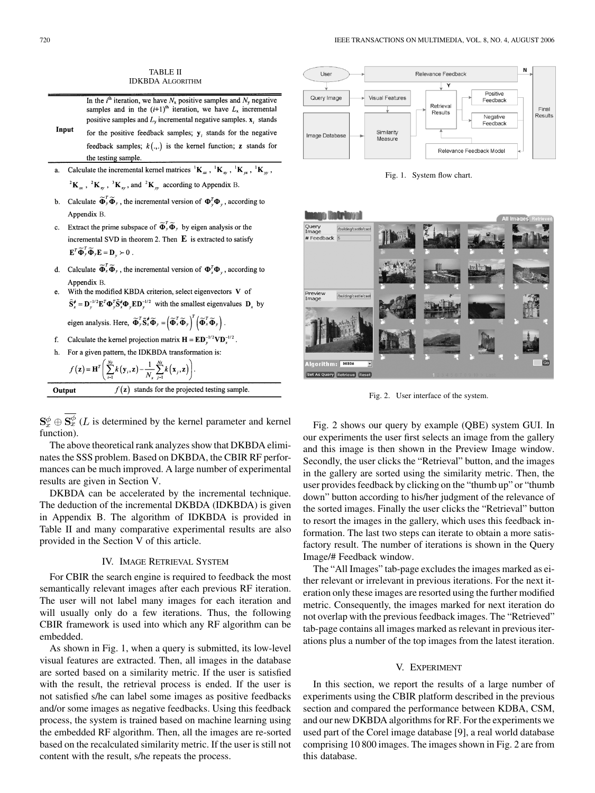TABLE II IDKBDA ALGORITHM

<span id="page-4-0"></span>In the  $i^{\text{th}}$  iteration, we have  $N_x$  positive samples and  $N_y$  negative samples and in the  $(i+1)$ <sup>th</sup> iteration, we have  $L<sub>x</sub>$  incremental positive samples and  $L<sub>v</sub>$  incremental negative samples.  $x<sub>v</sub>$  stands

- Input for the positive feedback samples;  $y_i$  stands for the negative feedback samples;  $k(.,.)$  is the kernel function; z stands for the testing sample.
- a. Calculate the incremental kernel matrices  ${}^{1}K_{x}$ ,  ${}^{1}K_{y}$ ,  ${}^{1}K_{y}$ ,  ${}^{1}K_{w}$ ,  ${}^{2}\mathbf{K}_{xx}$ ,  ${}^{2}\mathbf{K}_{xy}$ ,  ${}^{3}\mathbf{K}_{xy}$ , and  ${}^{2}\mathbf{K}_{yy}$  according to Appendix B.
- b. Calculate  $\widetilde{\Phi}_{y}^{T} \widetilde{\Phi}_{y}$ , the incremental version of  $\Phi_{y}^{T} \Phi_{y}$ , according to Appendix B.
- c. Extract the prime subspace of  $\widetilde{\Phi}_{y}^{T} \widetilde{\Phi}_{y}$  by eigen analysis or the incremental SVD in theorem 2. Then  $\mathbf E$  is extracted to satisfy  $\mathbf{E}^T \widetilde{\mathbf{\Phi}}_v^T \widetilde{\mathbf{\Phi}}_v \mathbf{E} = \mathbf{D}_v \succ 0$ .
- d. Calculate  $\widetilde{\Phi}_x^T \widetilde{\Phi}_y$ , the incremental version of  $\Phi_x^T \Phi_y$ , according to Appendix B.
- With the modified KBDA criterion, select eigenvectors V of e.  $\hat{S}_x^{\phi} = D_y^{-1/2} E^T \Phi_y^T \tilde{S}_x^{\phi} \Phi_y E D_y^{-1/2}$  with the smallest eigenvalues  $D_x$  by

eigen analysis. Here,  $\widetilde{\Phi}_{y}^{T} \widetilde{\mathbf{S}}_{x}^{*} \widetilde{\Phi}_{y} = \left(\widetilde{\Phi}_{x}^{T} \widetilde{\Phi}_{y}\right)^{t} \left(\widetilde{\Phi}_{x}^{T} \widetilde{\Phi}_{y}\right)^{t}$ 

- Calculate the kernel projection matrix  $\mathbf{H} = \mathbf{E} \mathbf{D}_v^{-1/2} \mathbf{V} \mathbf{D}_x^{-1/2}$ .  $f_{\perp}$
- For a given pattern, the IDKBDA transformation is: h.

$$
f(\mathbf{z}) = \mathbf{H}^T \left( \sum_{i=1}^{N_N} k(\mathbf{y}_i, \mathbf{z}) - \frac{1}{N_x} \sum_{j=1}^{N_x} k(\mathbf{x}_j, \mathbf{z}) \right).
$$
  
\nOutput  $f(\mathbf{z})$  stands for the projected testing sample.

 $S_x^{\phi} \oplus S_x^{\phi}$  (*L* is determined by the kernel parameter and kernel function).

The above theoretical rank analyzes show that DKBDA eliminates the SSS problem. Based on DKBDA, the CBIR RF performances can be much improved. A large number of experimental results are given in Section V.

DKBDA can be accelerated by the incremental technique. The deduction of the incremental DKBDA (IDKBDA) is given in [Appendix B](#page-8-0). The algorithm of IDKBDA is provided in Table II and many comparative experimental results are also provided in the Section V of this article.

## IV. IMAGE RETRIEVAL SYSTEM

For CBIR the search engine is required to feedback the most semantically relevant images after each previous RF iteration. The user will not label many images for each iteration and will usually only do a few iterations. Thus, the following CBIR framework is used into which any RF algorithm can be embedded.

As shown in Fig. 1, when a query is submitted, its low-level visual features are extracted. Then, all images in the database are sorted based on a similarity metric. If the user is satisfied with the result, the retrieval process is ended. If the user is not satisfied s/he can label some images as positive feedbacks and/or some images as negative feedbacks. Using this feedback process, the system is trained based on machine learning using the embedded RF algorithm. Then, all the images are re-sorted based on the recalculated similarity metric. If the user is still not content with the result, s/he repeats the process.







Fig. 2. User interface of the system.

Fig. 2 shows our query by example (QBE) system GUI. In our experiments the user first selects an image from the gallery and this image is then shown in the Preview Image window. Secondly, the user clicks the "Retrieval" button, and the images in the gallery are sorted using the similarity metric. Then, the user provides feedback by clicking on the "thumb up" or "thumb down" button according to his/her judgment of the relevance of the sorted images. Finally the user clicks the "Retrieval" button to resort the images in the gallery, which uses this feedback information. The last two steps can iterate to obtain a more satisfactory result. The number of iterations is shown in the Query Image/# Feedback window.

The "All Images" tab-page excludes the images marked as either relevant or irrelevant in previous iterations. For the next iteration only these images are resorted using the further modified metric. Consequently, the images marked for next iteration do not overlap with the previous feedback images. The "Retrieved" tab-page contains all images marked as relevant in previous iterations plus a number of the top images from the latest iteration.

## V. EXPERIMENT

In this section, we report the results of a large number of experiments using the CBIR platform described in the previous section and compared the performance between KDBA, CSM, and our new DKBDA algorithms for RF. For the experiments we used part of the Corel image database [\[9\]](#page-10-0), a real world database comprising 10 800 images. The images shown in Fig. 2 are from this database.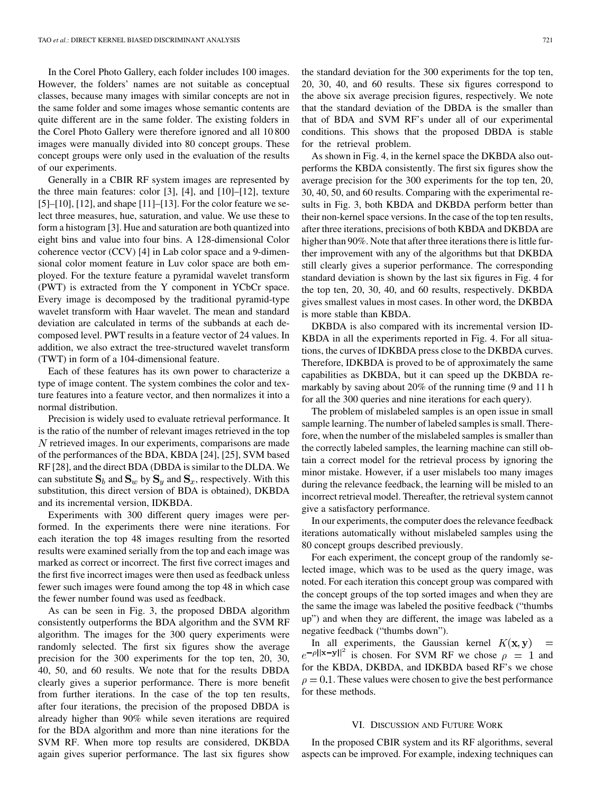<span id="page-5-0"></span>In the Corel Photo Gallery, each folder includes 100 images. However, the folders' names are not suitable as conceptual classes, because many images with similar concepts are not in the same folder and some images whose semantic contents are quite different are in the same folder. The existing folders in the Corel Photo Gallery were therefore ignored and all 10 800 images were manually divided into 80 concept groups. These concept groups were only used in the evaluation of the results of our experiments.

Generally in a CBIR RF system images are represented by the three main features: color [\[3\]](#page-10-0), [\[4\],](#page-10-0) and [\[10\]–\[12\]](#page-10-0), texture [\[5\]–\[10\]](#page-10-0), [\[12\],](#page-10-0) and shape [\[11\]–\[13\].](#page-10-0) For the color feature we select three measures, hue, saturation, and value. We use these to form a histogram [\[3\]](#page-10-0). Hue and saturation are both quantized into eight bins and value into four bins. A 128-dimensional Color coherence vector (CCV) [\[4\]](#page-10-0) in Lab color space and a 9-dimensional color moment feature in Luv color space are both employed. For the texture feature a pyramidal wavelet transform (PWT) is extracted from the Y component in YCbCr space. Every image is decomposed by the traditional pyramid-type wavelet transform with Haar wavelet. The mean and standard deviation are calculated in terms of the subbands at each decomposed level. PWT results in a feature vector of 24 values. In addition, we also extract the tree-structured wavelet transform (TWT) in form of a 104-dimensional feature.

Each of these features has its own power to characterize a type of image content. The system combines the color and texture features into a feature vector, and then normalizes it into a normal distribution.

Precision is widely used to evaluate retrieval performance. It is the ratio of the number of relevant images retrieved in the top  *retrieved images. In our experiments, comparisons are made* of the performances of the BDA, KBDA [\[24\], \[25\],](#page-11-0) SVM based RF [\[28\],](#page-11-0) and the direct BDA (DBDA is similar to the DLDA. We can substitute  $S_b$  and  $S_w$  by  $S_y$  and  $S_x$ , respectively. With this substitution, this direct version of BDA is obtained), DKBDA and its incremental version, IDKBDA.

Experiments with 300 different query images were performed. In the experiments there were nine iterations. For each iteration the top 48 images resulting from the resorted results were examined serially from the top and each image was marked as correct or incorrect. The first five correct images and the first five incorrect images were then used as feedback unless fewer such images were found among the top 48 in which case the fewer number found was used as feedback.

As can be seen in [Fig. 3](#page-6-0), the proposed DBDA algorithm consistently outperforms the BDA algorithm and the SVM RF algorithm. The images for the 300 query experiments were randomly selected. The first six figures show the average precision for the 300 experiments for the top ten, 20, 30, 40, 50, and 60 results. We note that for the results DBDA clearly gives a superior performance. There is more benefit from further iterations. In the case of the top ten results, after four iterations, the precision of the proposed DBDA is already higher than 90% while seven iterations are required for the BDA algorithm and more than nine iterations for the SVM RF. When more top results are considered, DKBDA again gives superior performance. The last six figures show

the standard deviation for the 300 experiments for the top ten, 20, 30, 40, and 60 results. These six figures correspond to the above six average precision figures, respectively. We note that the standard deviation of the DBDA is the smaller than that of BDA and SVM RF's under all of our experimental conditions. This shows that the proposed DBDA is stable for the retrieval problem.

As shown in [Fig. 4,](#page-7-0) in the kernel space the DKBDA also outperforms the KBDA consistently. The first six figures show the average precision for the 300 experiments for the top ten, 20, 30, 40, 50, and 60 results. Comparing with the experimental results in [Fig. 3](#page-6-0), both KBDA and DKBDA perform better than their non-kernel space versions. In the case of the top ten results, after three iterations, precisions of both KBDA and DKBDA are higher than 90%. Note that after three iterations there is little further improvement with any of the algorithms but that DKBDA still clearly gives a superior performance. The corresponding standard deviation is shown by the last six figures in [Fig. 4](#page-7-0) for the top ten, 20, 30, 40, and 60 results, respectively. DKBDA gives smallest values in most cases. In other word, the DKBDA is more stable than KBDA.

DKBDA is also compared with its incremental version ID-KBDA in all the experiments reported in [Fig. 4](#page-7-0). For all situations, the curves of IDKBDA press close to the DKBDA curves. Therefore, IDKBDA is proved to be of approximately the same capabilities as DKBDA, but it can speed up the DKBDA remarkably by saving about 20% of the running time (9 and 11 h for all the 300 queries and nine iterations for each query).

The problem of mislabeled samples is an open issue in small sample learning. The number of labeled samples is small. Therefore, when the number of the mislabeled samples is smaller than the correctly labeled samples, the learning machine can still obtain a correct model for the retrieval process by ignoring the minor mistake. However, if a user mislabels too many images during the relevance feedback, the learning will be misled to an incorrect retrieval model. Thereafter, the retrieval system cannot give a satisfactory performance.

In our experiments, the computer does the relevance feedback iterations automatically without mislabeled samples using the 80 concept groups described previously.

For each experiment, the concept group of the randomly selected image, which was to be used as the query image, was noted. For each iteration this concept group was compared with the concept groups of the top sorted images and when they are the same the image was labeled the positive feedback ("thumbs up") and when they are different, the image was labeled as a negative feedback ("thumbs down").

In all experiments, the Gaussian kernel  $K(\mathbf{x}, \mathbf{y})$  $e^{-\rho ||\mathbf{x}-\mathbf{y}||^2}$  is chosen. For SVM RF we chose  $\rho = 1$  and for the KBDA, DKBDA, and IDKBDA based RF's we chose  $\rho = 0.1$ . These values were chosen to give the best performance for these methods.

#### VI. DISCUSSION AND FUTURE WORK

In the proposed CBIR system and its RF algorithms, several aspects can be improved. For example, indexing techniques can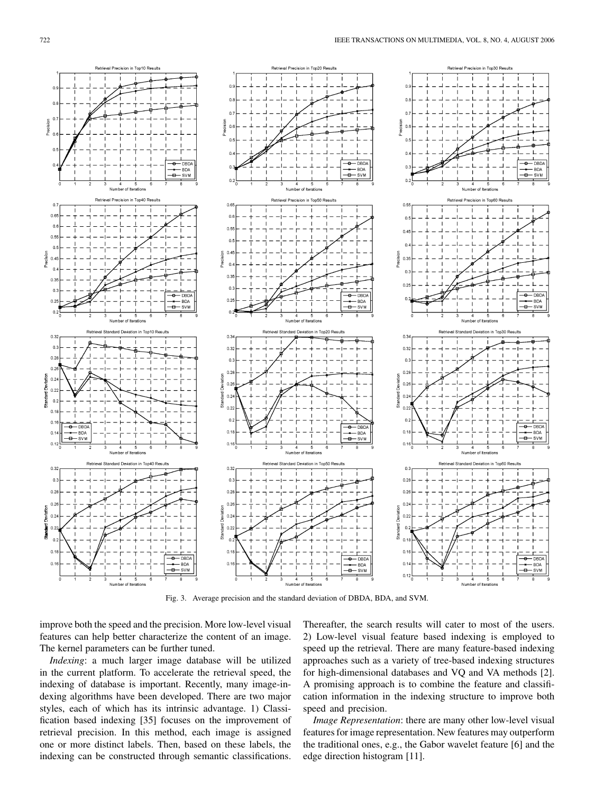<span id="page-6-0"></span>

Fig. 3. Average precision and the standard deviation of DBDA, BDA, and SVM.

improve both the speed and the precision. More low-level visual features can help better characterize the content of an image. The kernel parameters can be further tuned.

*Indexing*: a much larger image database will be utilized in the current platform. To accelerate the retrieval speed, the indexing of database is important. Recently, many image-indexing algorithms have been developed. There are two major styles, each of which has its intrinsic advantage. 1) Classification based indexing [\[35\]](#page-11-0) focuses on the improvement of retrieval precision. In this method, each image is assigned one or more distinct labels. Then, based on these labels, the indexing can be constructed through semantic classifications.

Thereafter, the search results will cater to most of the users. 2) Low-level visual feature based indexing is employed to speed up the retrieval. There are many feature-based indexing approaches such as a variety of tree-based indexing structures for high-dimensional databases and VQ and VA methods [\[2\]](#page-10-0). A promising approach is to combine the feature and classification information in the indexing structure to improve both speed and precision.

*Image Representation*: there are many other low-level visual features for image representation. New features may outperform the traditional ones, e.g., the Gabor wavelet feature [\[6\]](#page-10-0) and the edge direction histogram [\[11\].](#page-10-0)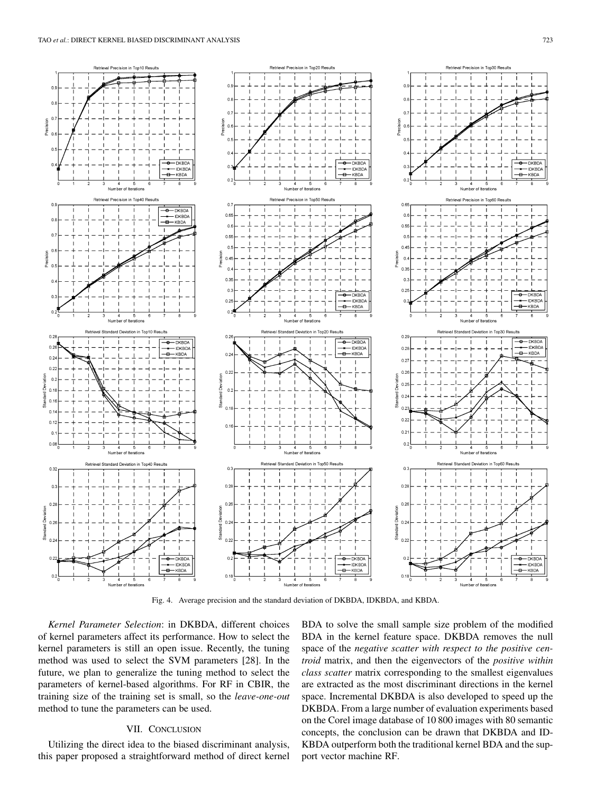<span id="page-7-0"></span>

Fig. 4. Average precision and the standard deviation of DKBDA, IDKBDA, and KBDA.

*Kernel Parameter Selection*: in DKBDA, different choices of kernel parameters affect its performance. How to select the kernel parameters is still an open issue. Recently, the tuning method was used to select the SVM parameters [\[28\]](#page-11-0). In the future, we plan to generalize the tuning method to select the parameters of kernel-based algorithms. For RF in CBIR, the training size of the training set is small, so the *leave-one-out* method to tune the parameters can be used.

### VII. CONCLUSION

Utilizing the direct idea to the biased discriminant analysis, this paper proposed a straightforward method of direct kernel BDA to solve the small sample size problem of the modified BDA in the kernel feature space. DKBDA removes the null space of the *negative scatter with respect to the positive centroid* matrix, and then the eigenvectors of the *positive within class scatter* matrix corresponding to the smallest eigenvalues are extracted as the most discriminant directions in the kernel space. Incremental DKBDA is also developed to speed up the DKBDA. From a large number of evaluation experiments based on the Corel image database of 10 800 images with 80 semantic concepts, the conclusion can be drawn that DKBDA and ID-KBDA outperform both the traditional kernel BDA and the support vector machine RF.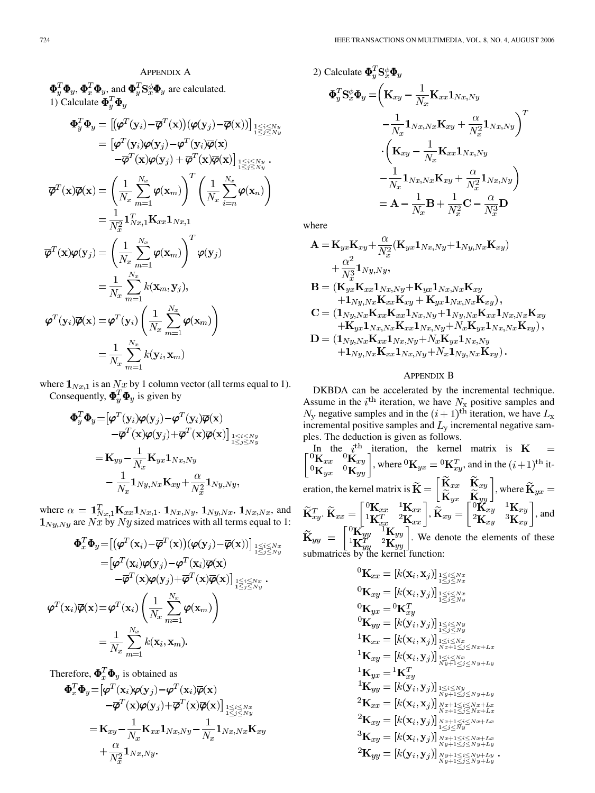## APPENDIX A

<span id="page-8-0"></span> $\mathbf{\Phi}_y^T \mathbf{\Phi}_y$ ,  $\mathbf{\Phi}_x^T \mathbf{\Phi}_y$ , and  $\mathbf{\Phi}_y^T \mathbf{S}_x^{\phi} \mathbf{\Phi}_y$  are calculated. 1) Calculate  $\mathbf{\Phi}_y^T \mathbf{\Phi}_y$ 

$$
\Phi_{y}^{T} \Phi_{y} = [\varphi^{T}(y_{i}) - \overline{\varphi}^{T}(x))(\varphi(y_{j}) - \overline{\varphi}(x))]_{\substack{1 \leq i \leq Ny \\ 1 \leq j \leq Ny}} \newline = [\varphi^{T}(y_{i})\varphi(y_{j}) - \varphi^{T}(y_{i})\overline{\varphi}(x) - \overline{\varphi}^{T}(x)\varphi(y_{j}) + \overline{\varphi}^{T}(x)\overline{\varphi}(x)]_{\substack{1 \leq i \leq Ny \\ 1 \leq j \leq Ny}} \newline \varphi^{T}(x)\overline{\varphi}(x) = \left(\frac{1}{N_{x}} \sum_{m=1}^{N_{x}} \varphi(x_{m})\right)^{T} \left(\frac{1}{N_{x}} \sum_{i=n}^{N_{x}} \varphi(x_{n})\right) \newline = \frac{1}{N_{x}^{2}} 1_{N_{x},1}^{T} K_{xx} 1_{N_{x},1} \newline \overline{\varphi}^{T}(x)\varphi(y_{j}) = \left(\frac{1}{N_{x}} \sum_{m=1}^{N_{x}} \varphi(x_{m})\right)^{T} \varphi(y_{j}) \newline = \frac{1}{N_{x}} \sum_{m=1}^{N_{x}} k(x_{m}, y_{j}), \newline \varphi^{T}(y_{i})\overline{\varphi}(x) = \varphi^{T}(y_{i}) \left(\frac{1}{N_{x}} \sum_{m=1}^{N_{x}} \varphi(x_{m})\right) \newline = \frac{1}{N_{x}} \sum_{m=1}^{N_{x}} k(y_{i}, x_{m})
$$

where  $\mathbf{1}_{Nx,1}$  is an  $Nx$  by 1 column vector (all terms equal to 1). Consequently,  $\mathbf{\Phi}_{y}^{T} \mathbf{\Phi}_{y}$  is given by

$$
\begin{aligned} \boldsymbol{\Phi}_{y}^{T}\boldsymbol{\Phi}_{y} \!=\! &\big[\boldsymbol{\varphi}^{T}(\mathbf{y}_{i})\boldsymbol{\varphi}(\mathbf{y}_{j}) \!-\! \boldsymbol{\varphi}^{T}(\mathbf{y}_{i})\overline{\boldsymbol{\varphi}}(\mathbf{x}) \\ &\!-\!\overline{\boldsymbol{\varphi}}^{T}(\mathbf{x})\boldsymbol{\varphi}(\mathbf{y}_{j}) \!+\! \overline{\boldsymbol{\varphi}}^{T}(\mathbf{x})\overline{\boldsymbol{\varphi}}(\mathbf{x})\big]_{\substack{1\leq i\leq Ny \\ 1\leq j\leq Ny}} \\ = &\mathbf{K}_{yy} \!-\! \frac{1}{N_{x}}\mathbf{K}_{yx}\mathbf{1}_{Nx,Ny} \\ &\qquad\qquad -\frac{1}{N_{x}}\mathbf{1}_{Ny,Nx}\mathbf{K}_{xy} \!+\! \frac{\alpha}{N_{x}^{2}}\mathbf{1}_{Ny,Ny}, \end{aligned}
$$

where  $\alpha = \mathbf{1}_{Nx,1}^T \mathbf{K}_{xx} \mathbf{1}_{Nx,1}$ .  $\mathbf{1}_{Nx,Ny}$ ,  $\mathbf{1}_{Ny,Nx}$ ,  $\mathbf{1}_{Nx,Nx}$ , and are  $Nx$  by  $Ny$  sized matrices with all terms equal to 1:

$$
\Phi_x^T \Phi_y = \left[ (\boldsymbol{\varphi}^T(\mathbf{x}_i) - \overline{\boldsymbol{\varphi}}^T(\mathbf{x})) (\boldsymbol{\varphi}(\mathbf{y}_j) - \overline{\boldsymbol{\varphi}}(\mathbf{x})) \right]_{\substack{1 \leq i \leq Nx \\ 1 \leq j \leq Ny \\ -\overline{\boldsymbol{\varphi}}^T(\mathbf{x}_i) \boldsymbol{\varphi}(\mathbf{y}_j) - \boldsymbol{\varphi}^T(\mathbf{x}_i) \overline{\boldsymbol{\varphi}}(\mathbf{x})} \n- \overline{\boldsymbol{\varphi}}^T(\mathbf{x}) \boldsymbol{\varphi}(\mathbf{y}_j) + \overline{\boldsymbol{\varphi}}^T(\mathbf{x}) \overline{\boldsymbol{\varphi}}(\mathbf{x}) \right]_{\substack{1 \leq i \leq Nx \\ 1 \leq j \leq Ny \\ 1 \leq j \leq Ny}} \n\boldsymbol{\varphi}^T(\mathbf{x}_i) \overline{\boldsymbol{\varphi}}(\mathbf{x}) = \boldsymbol{\varphi}^T(\mathbf{x}_i) \left( \frac{1}{N_x} \sum_{m=1}^{N_x} \boldsymbol{\varphi}(\mathbf{x}_m) \right) \n= \frac{1}{N_x} \sum_{m=1}^{N_x} k(\mathbf{x}_i, \mathbf{x}_m).
$$

Therefore,  $\mathbf{\Phi}_x^T \mathbf{\Phi}_y$  is obtained as

$$
\begin{aligned} \boldsymbol{\Phi}_x^T\boldsymbol{\Phi}_y =&\big[\boldsymbol{\varphi}^T(\mathbf{x}_i)\boldsymbol{\varphi}(\mathbf{y}_j)-\boldsymbol{\varphi}^T(\mathbf{x}_i)\overline{\boldsymbol{\varphi}}(\mathbf{x})\\ &-\overline{\boldsymbol{\varphi}}^T(\mathbf{x})\boldsymbol{\varphi}(\mathbf{y}_j)+\overline{\boldsymbol{\varphi}}^T(\mathbf{x})\overline{\boldsymbol{\varphi}}(\mathbf{x})\big]_{\substack{1\leq i\leq Nx\\1\leq j\leq Ny}}\\ =&\mathbf{K}_{xy}-\frac{1}{N_x}\mathbf{K}_{xx}\mathbf{1}_{Nx,Ny}-\frac{1}{N_x}\mathbf{1}_{Nx,Nx}\mathbf{K}_{xy}\\ &+\frac{\alpha}{N_x^2}\mathbf{1}_{Nx,Ny}.\end{aligned}
$$

2) Calculate 
$$
\Phi_y^T S_x^{\phi} \Phi_y
$$
  
\n
$$
\Phi_y^T S_x^{\phi} \Phi_y = \left( \mathbf{K}_{xy} - \frac{1}{N_x} \mathbf{K}_{xx} \mathbf{1}_{Nx, Ny} - \frac{1}{N_x} \mathbf{1}_{Nx, Nx} \mathbf{K}_{xy} + \frac{\alpha}{N_x^2} \mathbf{1}_{Nx, Ny} \right)^T
$$
\n
$$
\cdot \left( \mathbf{K}_{xy} - \frac{1}{N_x} \mathbf{K}_{xx} \mathbf{1}_{Nx, Ny} - \frac{1}{N_x} \mathbf{1}_{Nx, Nx} \mathbf{K}_{xy} + \frac{\alpha}{N_x^2} \mathbf{1}_{Nx, Ny} \right)
$$
\n
$$
= \mathbf{A} - \frac{1}{N_x} \mathbf{B} + \frac{1}{N_x^2} \mathbf{C} - \frac{\alpha}{N_x^3} \mathbf{D}
$$

where

$$
A = K_{yx}K_{xy} + \frac{\alpha}{N_x^2}(K_{yx}1_{Nx,Ny} + 1_{Ny,Nx}K_{xy})
$$
  
+ 
$$
\frac{\alpha^2}{N_x^3}1_{Ny,Ny},
$$
  

$$
B = (K_{yx}K_{xx}1_{Nx,Ny} + K_{yx}1_{Nx,Nx}K_{xy}
$$
  
+ 
$$
1_{Ny,Nx}K_{xx}K_{xy} + K_{yx}1_{Nx,Nx}K_{xy}),
$$
  

$$
C = (1_{Ny,Nx}K_{xx}K_{xx}1_{Nx,Ny} + 1_{Ny,Nx}K_{xx}1_{Nx,Nx}K_{xy})
$$
  
+ 
$$
K_{yx}1_{Nx,Nx}K_{xx}1_{Nx,Ny} + N_xK_{yx}1_{Nx,Nx}K_{xy}),
$$
  

$$
D = (1_{Ny,Nx}K_{xx}1_{Nx,Ny} + N_xK_{yx}1_{Nx,Ny}K_{xy}).
$$

## APPENDIX B

DKBDA can be accelerated by the incremental technique. Assume in the  $i<sup>th</sup>$  iteration, we have  $N_x$  positive samples and negative samples and in the  $(i+1)$ <sup>th</sup> iteration, we have incremental positive samples and  $L<sub>y</sub>$  incremental negative samples. The deduction is given as follows.

In the  $i^{\text{th}}$  iteration, the kernel matrix is , where  ${}^{0}\mathbf{K}_{yx} = {}^{0}\mathbf{K}_{xy}^T$ , and in the  $(i+1)$ <sup>th</sup> iteration, the kernel matrix is  $\mathbf{K} = \begin{bmatrix} \frac{\mathbf{K}^T x}{\alpha} & \frac{\mathbf{K}^T x}{\alpha} \end{bmatrix}$ , where .  $\mathbf{K}_{xx} = \begin{bmatrix} \mathbf{K}_{xx} & \mathbf{K}_{xx} \\ \mathbf{K}_{xx} & 2\mathbf{K} \end{bmatrix}, \mathbf{K}_{xy} = \begin{bmatrix} \mathbf{K}_{xy} & \mathbf{K}_{xy} \\ 2\mathbf{K} & 3\mathbf{K} \end{bmatrix}$ , and . We denote the elements of these submatrices by the kernel function:

$$
{}^{0}\mathbf{K}_{xx} = [k(\mathbf{x}_i, \mathbf{x}_j)]_{\substack{1 \leq i \leq Nx \\ 1 \leq j \leq Nx}} \newline {}^{0}\mathbf{K}_{xy} = [k(\mathbf{x}_i, \mathbf{y}_j)]_{\substack{1 \leq i \leq Nx \\ 1 \leq j \leq Ny}} \newline {}^{0}\mathbf{K}_{yx} = {}^{0}\mathbf{K}_{xy}^{T} \newline {}^{0}\mathbf{K}_{yy} = [k(\mathbf{y}_i, \mathbf{y}_j)]_{\substack{1 \leq i \leq Ny \\ 1 \leq j \leq Ny}} \newline {}^{1}\mathbf{K}_{xx} = [k(\mathbf{x}_i, \mathbf{x}_j)]_{\substack{1 \leq i \leq Ny \\ Nx+1 \leq j \leq Nx+Lx}} \newline {}^{1}\mathbf{K}_{xy} = [k(\mathbf{x}_i, \mathbf{y}_j)]_{\substack{1 \leq i \leq Nx \\ Ny+1 \leq j \leq Ny+Ly}} \newline {}^{1}\mathbf{K}_{yx} = {}^{1}\mathbf{K}_{xy}^{T} \newline {}^{1}\mathbf{K}_{yy} = [k(\mathbf{y}_i, \mathbf{y}_j)]_{\substack{1 \leq i \leq Ny \\ Ny+1 \leq j \leq Ny+Lx}} \newline {}^{2}\mathbf{K}_{xx} = [k(\mathbf{x}_i, \mathbf{x}_j)]_{\substack{Nx+1 \leq i \leq Nx+Lx \\ Nx+1 \leq j \leq Ny+Lx}} \newline {}^{3}\mathbf{K}_{xy} = [k(\mathbf{x}_i, \mathbf{y}_j)]_{\substack{Nx+1 \leq i \leq Ny+Lx \\ Ny+1 \leq j \leq Ny+Ly}} \newline {}^{2}\mathbf{K}_{yy} = [k(\mathbf{y}_i, \mathbf{y}_j)]_{\substack{Ny+1 \leq i \leq Ny+Lx \\ Ny+1 \leq j \leq Ny+Ly}} \newline {}^{2}\mathbf{K}_{yy} = [k(\mathbf{y}_i, \mathbf{y}_j)]_{\substack{Ny+1 \leq i \leq Ny+Ly \\ Ny+1 \leq j \leq Ny+Ly}} \newline {}^{1}\mathbf{K}_{yy} = [k(\mathbf{y}_i, \mathbf{y}_j)]_{\substack{N+1 \leq i \leq Ny+Ly \\ Ny+1 \leq j \leq Ny+Ly}} \newline {}^{1}\mathbf{K}_{yy} = [k(\mathbf
$$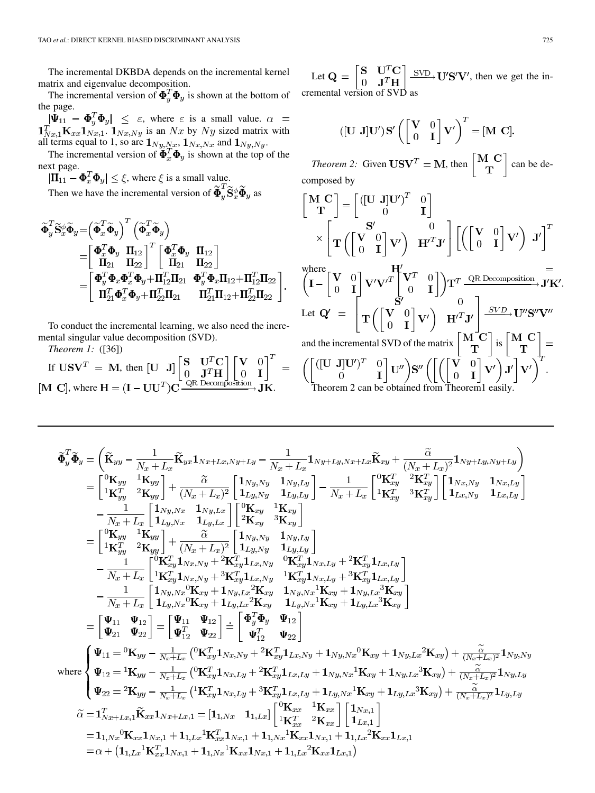The incremental DKBDA depends on the incremental kernel matrix and eigenvalue decomposition.

The incremental version of  $\mathbf{\Phi}_y^T \mathbf{\Phi}_y$  is shown at the bottom of the page.

, where  $\varepsilon$  is a small value. .  $\mathbf{1}_{Nx,Ny}$  is an Nx by Ny sized matrix with all terms equal to 1, so are  $1_{Ny,Nx}$ ,  $1_{Nx,Nx}$  and  $1_{Ny,Ny}$ .

The incremental version of  $\mathbf{\Phi}_x^T \mathbf{\Phi}_y$  is shown at the top of the next page.

, where  $\xi$  is a small value. Then we have the incremental version of  $\mathbf{\Phi}_v \mathbf{S}_x^{\phi} \mathbf{\Phi}_y$  as

$$
\begin{aligned} \widetilde{\Phi}^T_y\widetilde{\mathbf{S}}^{\phi}_x\widetilde{\Phi}_y=&\Big(\widetilde{\Phi}^T_x\widetilde{\Phi}_y\Big)^T\left(\widetilde{\Phi}^T_x\widetilde{\Phi}_y\right)\\ =&\begin{bmatrix}\mathbf{\Phi}^T_x\mathbf{\Phi}_y&\mathbf{\Pi}_{12} \\ \mathbf{\Pi}_{21}&\mathbf{\Pi}_{22}\end{bmatrix}^T\begin{bmatrix}\mathbf{\Phi}^T_x\mathbf{\Phi}_y&\mathbf{\Pi}_{12} \\ \mathbf{\Pi}_{21}&\mathbf{\Pi}_{22}\end{bmatrix}\\ =&\begin{bmatrix}\mathbf{\Phi}^T_y\mathbf{\Phi}_x\mathbf{\Phi}^T_x\mathbf{\Phi}_y+\mathbf{\Pi}_{12}^T\mathbf{\Pi}_{21}&\mathbf{\Phi}^T_y\mathbf{\Phi}_x\mathbf{\Pi}_{12}+\mathbf{\Pi}_{12}^T\mathbf{\Pi}_{22} \\ \mathbf{\Pi}_{21}^T\mathbf{\Phi}^T_x\mathbf{\Phi}_y+\mathbf{\Pi}_{22}^T\mathbf{\Pi}_{21}&\mathbf{\Pi}_{21}^T\mathbf{\Pi}_{12}+\mathbf{\Pi}_{22}^T\mathbf{\Pi}_{22}\end{bmatrix}.\end{aligned}
$$

To conduct the incremental learning, we also need the incremental singular value decomposition (SVD).

*Theorem 1:* ([\[36\]](#page-11-0))

If 
$$
USV^T = M
$$
, then  $[U \t J] \begin{bmatrix} S & U^T C \\ 0 & J^T H \end{bmatrix} \begin{bmatrix} V & 0 \\ 0 & I \end{bmatrix}^T =$   
[M C], where  $H = (I - UU^T)C \xrightarrow{QR\text{ Decomposition}} JK$ .

Let  $\mathbf{Q} = \begin{bmatrix} \mathbf{S} & \mathbf{U}^T \mathbf{C} \\ 0 & \mathbf{J}^T \mathbf{H} \end{bmatrix} \xrightarrow{\text{SVD}} \mathbf{U}' \mathbf{S}' \mathbf{V}'$ , then we get the incremental version of SVD as

$$
([\mathbf{U} \ \ \mathbf{J}] \mathbf{U}') \mathbf{S}' \left( \begin{bmatrix} \mathbf{V} & 0 \\ 0 & \mathbf{I} \end{bmatrix} \mathbf{V}' \right)^T = [\mathbf{M} \ \ \mathbf{C}].
$$

*Theorem 2:* Given  $\mathbf{U}\mathbf{S}\mathbf{V}^T = \mathbf{M}$ , then  $\begin{bmatrix} \mathbf{M} & \mathbf{C} \\ \mathbf{T} & \end{bmatrix}$  can be decomposed by

where . Let and the incremental SVD of the matrix is . Theorem 2 can be obtained from Theorem1 easily.

$$
\begin{split} \tilde{\Phi}_{y}^{T}\tilde{\Phi}_{y} & = \left( \tilde{\mathbf{K}}_{yy} - \frac{1}{N_{x} + L_{x}} \tilde{\mathbf{K}}_{yx} \mathbf{1}_{Nx+Lx,Ny+Ly} - \frac{1}{N_{x} + L_{x}} \mathbf{1}_{Ny+Ly,Nx+Lx} \tilde{\mathbf{K}}_{xy} + \frac{\tilde{\alpha}}{(N_{x} + L_{x})^{2}} \mathbf{1}_{Ny+Ly,Ny+Ly} \right) \\ & = \begin{bmatrix} {}^{0}\mathbf{K}_{yy} & {}^{1}\mathbf{K}_{yy} \\ {}^{1}\mathbf{K}_{yy}^{T} & {}^{2}\mathbf{K}_{yy} \end{bmatrix} + \frac{\tilde{\alpha}}{(N_{x} + L_{x})^{2}} \begin{bmatrix} \mathbf{1}_{Ny,Ny} & \mathbf{1}_{Ny,Ly} \\ \mathbf{1}_{Lx,Ny} & \mathbf{1}_{Lx,Ly} \end{bmatrix} - \frac{1}{N_{x} + L_{x}} \begin{bmatrix} {}^{0}\mathbf{K}_{xy}^{T} & {}^{2}\mathbf{K}_{xy}^{T} \\ {}^{1}\mathbf{K}_{xy}^{T} & {}^{3}\mathbf{K}_{xy} \end{bmatrix} \begin{bmatrix} \mathbf{1}_{Nx,Ny} + Lx \\ \mathbf{1}_{Lx,Ny} & \mathbf{1}_{Lx,Ly} \end{bmatrix} \\ & - \frac{1}{N_{x} + L_{x}} \begin{bmatrix} \mathbf{1}_{Ny,Nx} & \mathbf{1}_{Ny,Lx} \\ \mathbf{1}_{Ly,Nx} & \mathbf{1}_{Ly,Lx} \end{bmatrix} \begin{bmatrix} {}^{0}\mathbf{K}_{xy} & {}^{1}\mathbf{K}_{xy} \\ {}^{2}\mathbf{K}_{xy} & {}^{3}\mathbf{K}_{xy} \end{bmatrix} \\ & = \begin{bmatrix} {}^{0}\mathbf{K}_{xy} & {}^{1}\mathbf{K}_{yy} \\ {}^{1}\mathbf{K}_{yy}^{T} & {}^{2}\mathbf{K}_{yy} \end{bmatrix} + \frac{\tilde{\alpha}}{(N_{x} + L_{x})^{2}} \begin{bmatrix} \mathbf{1}_{Ly,Ny} & \mathbf{1}_{Ny,Ly} \\ \mathbf{1}_{Ly,Ny} & \mathbf{1}_{Ly,Ly} \end{bmatrix} \\ & - \frac{1}{N_{x} + L_{x}} \begin{bmatrix} {}^{0}\mathbf{K}_{xy}^{T} \mathbf{1}_{Nx
$$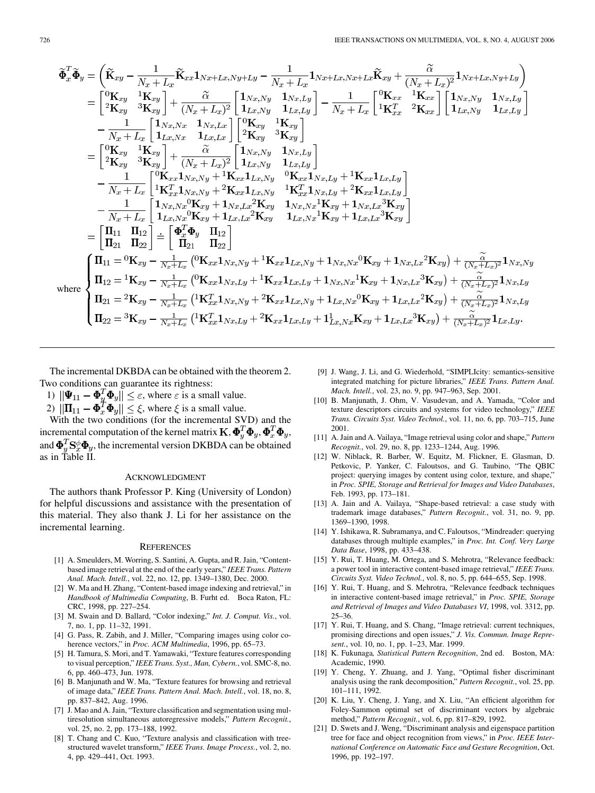<span id="page-10-0"></span>
$$
\begin{split}\n\widetilde{\Phi}_{x}^{T}\widetilde{\Phi}_{y} & = \left(\widetilde{\mathbf{K}}_{xy} - \frac{1}{N_{x}+L_{x}}\widetilde{\mathbf{K}}_{xx}\mathbf{1}_{Nx+Lx,Ny+Ly} - \frac{1}{N_{x}+L_{x}}\mathbf{1}_{Nx+Lx,Nx+Lx}\widetilde{\mathbf{K}}_{xy} + \frac{\widetilde{\alpha}}{(N_{x}+L_{x})^{2}}\mathbf{1}_{Nx+Lx,Ny+Ly} \right) \\
&= \begin{bmatrix}\n\frac{0}{2}\mathbf{K}_{xy} & \frac{1}{2}\mathbf{K}_{xy} \\
2\mathbf{K}_{xy} & \frac{3}{2}\mathbf{K}_{xy}\n\end{bmatrix} + \frac{\widetilde{\alpha}}{(N_{x}+L_{x})^{2}}\begin{bmatrix}\n\frac{1}{2}\mathbf{1}_{Nx,Ny} & \frac{1}{2}\mathbf{1}_{Nx,Ly} \\
\frac{1}{2}\mathbf{K}_{xy} & \frac{1}{2}\mathbf{K}_{xy}\n\end{bmatrix} - \frac{1}{N_{x}+L_{x}}\begin{bmatrix}\n\frac{0}{2}\mathbf{K}_{xx} & \frac{1}{2}\mathbf{K}_{xx} \\
\frac{1}{2}\mathbf{K}_{xx} & \frac{1}{2}\mathbf{K}_{xx}\n\end{bmatrix}\begin{bmatrix}\n\frac{1}{2}\mathbf{K}_{xx} & \frac{1}{2}\mathbf{K}_{xx} \\
\frac{1}{2}\mathbf{K}_{xy} & \frac{1}{2}\mathbf{K}_{xy}\n\end{bmatrix} \\
&= \begin{bmatrix}\n\frac{0}{2}\mathbf{K}_{xy} & \frac{1}{2}\mathbf{K}_{xy} \\
2\mathbf{K}_{xy} & \frac{1}{2}\mathbf{K}_{xy}\n\end{bmatrix} + \frac{\widetilde{\alpha}}{(N_{x}+L_{x})^{2}}\begin{bmatrix}\n\frac{1}{2}\mathbf{K}_{xy} & \frac{1}{2}\mathbf{K}_{xy} \\
\frac{1}{2}\mathbf{K}_{xy} & \frac{1}{2}\mathbf{K}_{xy}\n\end{bmatrix} \\
&- \frac{1}{N_{x}+L_{x}}\begin{bmatrix}\n\frac{0}{2}\mathbf{K}_{xx}\mathbf{1}_{Nx,Ny} + \frac{1}{2}\mathbf{K}_{xx}\mathbf{1}_{Lx,Ny} & \frac{0}{2}\mathbf{K}_{xx}\mathbf{1}_{Nx
$$

The incremental DKBDA can be obtained with the theorem 2. Two conditions can guarantee its rightness:

- 1)  $\|\Psi_{11} \Phi_u^T \Phi_y\| \leq \varepsilon$ , where  $\varepsilon$  is a small value.
- 2)  $\|\Pi_{11} \Phi_x^T \Phi_y\| \leq \xi$ , where  $\xi$  is a small value.

With the two conditions (for the incremental SVD) and the incremental computation of the kernel matrix  $K, \pmb{\Phi}_v^T \pmb{\Phi}_v, \pmb{\Phi}_x^T \pmb{\Phi}_v$ , and  $\mathbf{\Phi}_y^T \mathbf{S}_x^{\phi} \mathbf{\Phi}_y$ , the incremental version DKBDA can be obtained as in [Table II](#page-4-0).

#### ACKNOWLEDGMENT

The authors thank Professor P. King (University of London) for helpful discussions and assistance with the presentation of this material. They also thank J. Li for her assistance on the incremental learning.

#### **REFERENCES**

- [1] A. Smeulders, M. Worring, S. Santini, A. Gupta, and R. Jain, "Contentbased image retrieval at the end of the early years," *IEEE Trans. Pattern Anal. Mach. Intell.*, vol. 22, no. 12, pp. 1349–1380, Dec. 2000.
- [2] W. Ma and H. Zhang, "Content-based image indexing and retrieval," in *Handbook of Multimedia Computing*, B. Furht ed. Boca Raton, FL: CRC, 1998, pp. 227–254.
- [3] M. Swain and D. Ballard, "Color indexing," *Int. J. Comput. Vis.*, vol. 7, no. 1, pp. 11–32, 1991.
- [4] G. Pass, R. Zabih, and J. Miller, "Comparing images using color coherence vectors," in *Proc. ACM Multimedia*, 1996, pp. 65–73.
- [5] H. Tamura, S. Mori, and T. Yamawaki, "Texture features corresponding to visual perception," *IEEE Trans. Syst., Man, Cybern.*, vol. SMC-8, no. 6, pp. 460–473, Jun. 1978.
- [6] B. Manjunath and W. Ma, "Texture features for browsing and retrieval of image data," *IEEE Trans. Pattern Anal. Mach. Intell.*, vol. 18, no. 8, pp. 837–842, Aug. 1996.
- [7] J. Mao and A. Jain, "Texture classification and segmentation using multiresolution simultaneous autoregressive models," *Pattern Recognit.*, vol. 25, no. 2, pp. 173–188, 1992.
- [8] T. Chang and C. Kuo, "Texture analysis and classification with treestructured wavelet transform," *IEEE Trans. Image Process.*, vol. 2, no. 4, pp. 429–441, Oct. 1993.
- [9] J. Wang, J. Li, and G. Wiederhold, "SIMPLIcity: semantics-sensitive integrated matching for picture libraries," *IEEE Trans. Pattern Anal. Mach. Intell.*, vol. 23, no. 9, pp. 947–963, Sep. 2001.
- [10] B. Manjunath, J. Ohm, V. Vasudevan, and A. Yamada, "Color and texture descriptors circuits and systems for video technology," *IEEE Trans. Circuits Syst. Video Technol.*, vol. 11, no. 6, pp. 703–715, June 2001.
- [11] A. Jain and A. Vailaya, "Image retrieval using color and shape," *Pattern Recognit.*, vol. 29, no. 8, pp. 1233–1244, Aug. 1996.
- [12] W. Niblack, R. Barber, W. Equitz, M. Flickner, E. Glasman, D. Petkovic, P. Yanker, C. Faloutsos, and G. Taubino, "The QBIC project: querying images by content using color, texture, and shape," in *Proc. SPIE, Storage and Retrieval for Images and Video Databases*, Feb. 1993, pp. 173–181.
- [13] A. Jain and A. Vailaya, "Shape-based retrieval: a case study with trademark image databases," *Pattern Recognit.*, vol. 31, no. 9, pp. 1369–1390, 1998.
- [14] Y. Ishikawa, R. Subramanya, and C. Faloutsos, "Mindreader: querying databases through multiple examples," in *Proc. Int. Conf. Very Large Data Base*, 1998, pp. 433–438.
- [15] Y. Rui, T. Huang, M. Ortega, and S. Mehrotra, "Relevance feedback: a power tool in interactive content-based image retrieval," *IEEE Trans. Circuits Syst. Video Technol.*, vol. 8, no. 5, pp. 644–655, Sep. 1998.
- [16] Y. Rui, T. Huang, and S. Mehrotra, "Relevance feedback techniques in interactive content-based image retrieval," in *Proc. SPIE, Storage and Retrieval of Images and Video Databases VI*, 1998, vol. 3312, pp. 25–36.
- [17] Y. Rui, T. Huang, and S. Chang, "Image retrieval: current techniques, promising directions and open issues," *J. Vis. Commun. Image Represent.*, vol. 10, no. 1, pp. 1–23, Mar. 1999.
- [18] K. Fukunaga*, Statistical Pattern Recognition*, 2nd ed. Boston, MA: Academic, 1990.
- [19] Y. Cheng, Y. Zhuang, and J. Yang, "Optimal fisher discriminant analysis using the rank decomposition," *Pattern Recognit.*, vol. 25, pp. 101–111, 1992.
- [20] K. Liu, Y. Cheng, J. Yang, and X. Liu, "An efficient algorithm for Foley-Sammon optimal set of discriminant vectors by algebraic method," *Pattern Recognit.*, vol. 6, pp. 817–829, 1992.
- [21] D. Swets and J. Weng, "Discriminant analysis and eigenspace partition tree for face and object recognition from views," in *Proc. IEEE International Conference on Automatic Face and Gesture Recognition*, Oct. 1996, pp. 192–197.